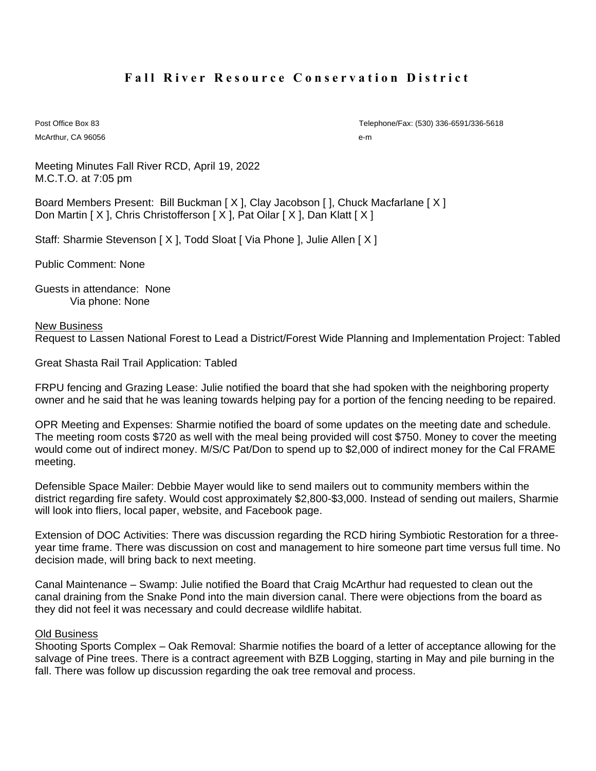# **Fall River Resource Conservation District**

McArthur, CA 96056 e-m

Post Office Box 83 Telephone/Fax: (530) 336-6591/336-5618

Meeting Minutes Fall River RCD, April 19, 2022 M.C.T.O. at 7:05 pm

Board Members Present: Bill Buckman [ X ], Clay Jacobson [ ], Chuck Macfarlane [ X ] Don Martin [ X ], Chris Christofferson [ X ], Pat Oilar [ X ], Dan Klatt [ X ]

Staff: Sharmie Stevenson [ X ], Todd Sloat [ Via Phone ], Julie Allen [ X ]

Public Comment: None

Guests in attendance: None Via phone: None

#### New Business

Request to Lassen National Forest to Lead a District/Forest Wide Planning and Implementation Project: Tabled

Great Shasta Rail Trail Application: Tabled

FRPU fencing and Grazing Lease: Julie notified the board that she had spoken with the neighboring property owner and he said that he was leaning towards helping pay for a portion of the fencing needing to be repaired.

OPR Meeting and Expenses: Sharmie notified the board of some updates on the meeting date and schedule. The meeting room costs \$720 as well with the meal being provided will cost \$750. Money to cover the meeting would come out of indirect money. M/S/C Pat/Don to spend up to \$2,000 of indirect money for the Cal FRAME meeting.

Defensible Space Mailer: Debbie Mayer would like to send mailers out to community members within the district regarding fire safety. Would cost approximately \$2,800-\$3,000. Instead of sending out mailers, Sharmie will look into fliers, local paper, website, and Facebook page.

Extension of DOC Activities: There was discussion regarding the RCD hiring Symbiotic Restoration for a threeyear time frame. There was discussion on cost and management to hire someone part time versus full time. No decision made, will bring back to next meeting.

Canal Maintenance – Swamp: Julie notified the Board that Craig McArthur had requested to clean out the canal draining from the Snake Pond into the main diversion canal. There were objections from the board as they did not feel it was necessary and could decrease wildlife habitat.

#### Old Business

Shooting Sports Complex – Oak Removal: Sharmie notifies the board of a letter of acceptance allowing for the salvage of Pine trees. There is a contract agreement with BZB Logging, starting in May and pile burning in the fall. There was follow up discussion regarding the oak tree removal and process.